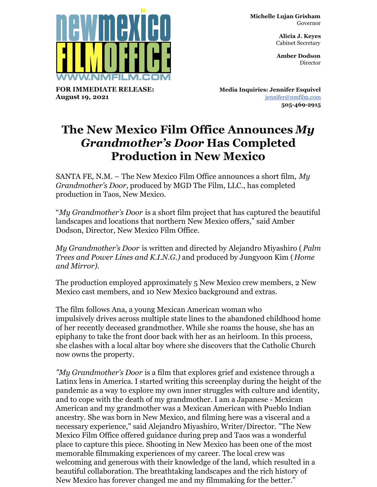**Michelle Lujan Grisham** Governor

> **Alicia J. Keyes** Cabinet Secretary

> **Amber Dodson Director**



**FOR IMMEDIATE RELEASE: August 19, 2021**

**Media Inquiries: Jennifer Esquivel** [jennifer@nmfilm.com](mailto:jennifer@nmfilm.com) **505-469-2915**

## **The New Mexico Film Office Announces** *My Grandmother's Door* **Has Completed Production in New Mexico**

SANTA FE, N.M. – The New Mexico Film Office announces a short film, *My Grandmother's Door,* produced by MGD The Film, LLC., has completed production in Taos, New Mexico.

"*My Grandmother's Door* is a short film project that has captured the beautiful landscapes and locations that northern New Mexico offers," said Amber Dodson, Director, New Mexico Film Office.

*My Grandmother's Door* is written and directed by Alejandro Miyashiro ( *Palm Trees and Power Lines and K.I.N.G.)* and produced by Jungyoon Kim (*Home and Mirror).*

The production employed approximately 5 New Mexico crew members, 2 New Mexico cast members, and 10 New Mexico background and extras.

The film follows Ana, a young Mexican American woman who impulsively drives across multiple state lines to the abandoned childhood home of her recently deceased grandmother. While she roams the house, she has an epiphany to take the front door back with her as an heirloom. In this process, she clashes with a local altar boy where she discovers that the Catholic Church now owns the property.

*"My Grandmother's Door* is a film that explores grief and existence through a Latinx lens in America. I started writing this screenplay during the height of the pandemic as a way to explore my own inner struggles with culture and identity, and to cope with the death of my grandmother. I am a Japanese - Mexican American and my grandmother was a Mexican American with Pueblo Indian ancestry. She was born in New Mexico, and filming here was a visceral and a necessary experience," said Alejandro Miyashiro, Writer/Director. "The New Mexico Film Office offered guidance during prep and Taos was a wonderful place to capture this piece. Shooting in New Mexico has been one of the most memorable filmmaking experiences of my career. The local crew was welcoming and generous with their knowledge of the land, which resulted in a beautiful collaboration. The breathtaking landscapes and the rich history of New Mexico has forever changed me and my filmmaking for the better."